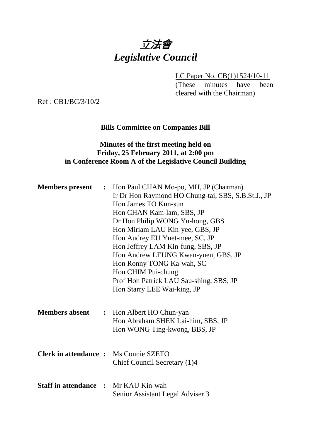# 立法會 *Legislative Council*

LC Paper No. CB(1)1524/10-11

(These minutes have been cleared with the Chairman)

Ref : CB1/BC/3/10/2

#### **Bills Committee on Companies Bill**

### **Minutes of the first meeting held on Friday, 25 February 2011, at 2:00 pm in Conference Room A of the Legislative Council Building**

| <b>Members present</b>                       | $\ddot{\cdot}$ | Hon Paul CHAN Mo-po, MH, JP (Chairman)<br>Ir Dr Hon Raymond HO Chung-tai, SBS, S.B.St.J., JP<br>Hon James TO Kun-sun<br>Hon CHAN Kam-lam, SBS, JP<br>Dr Hon Philip WONG Yu-hong, GBS<br>Hon Miriam LAU Kin-yee, GBS, JP<br>Hon Audrey EU Yuet-mee, SC, JP<br>Hon Jeffrey LAM Kin-fung, SBS, JP<br>Hon Andrew LEUNG Kwan-yuen, GBS, JP<br>Hon Ronny TONG Ka-wah, SC<br>Hon CHIM Pui-chung<br>Prof Hon Patrick LAU Sau-shing, SBS, JP<br>Hon Starry LEE Wai-king, JP |
|----------------------------------------------|----------------|--------------------------------------------------------------------------------------------------------------------------------------------------------------------------------------------------------------------------------------------------------------------------------------------------------------------------------------------------------------------------------------------------------------------------------------------------------------------|
| <b>Members absent</b>                        |                | : Hon Albert HO Chun-yan<br>Hon Abraham SHEK Lai-him, SBS, JP<br>Hon WONG Ting-kwong, BBS, JP                                                                                                                                                                                                                                                                                                                                                                      |
| <b>Clerk in attendance :</b> Ms Connie SZETO |                | Chief Council Secretary (1)4                                                                                                                                                                                                                                                                                                                                                                                                                                       |
| <b>Staff in attendance : Mr KAU Kin-wah</b>  |                | Senior Assistant Legal Adviser 3                                                                                                                                                                                                                                                                                                                                                                                                                                   |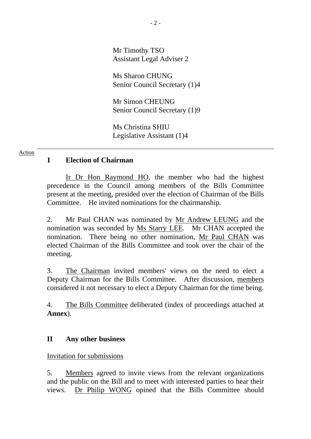Mr Timothy TSO Assistant Legal Adviser 2

Ms Sharon CHUNG Senior Council Secretary (1)4

Mr Simon CHEUNG Senior Council Secretary (1)9

Ms Christina SHIU Legislative Assistant (1)4

#### Action

#### **I Election of Chairman**

 Ir Dr Hon Raymond HO, the member who had the highest precedence in the Council among members of the Bills Committee present at the meeting, presided over the election of Chairman of the Bills Committee. He invited nominations for the chairmanship.

2. Mr Paul CHAN was nominated by Mr Andrew LEUNG and the nomination was seconded by Ms Starry LEE. Mr CHAN accepted the nomination. There being no other nomination, Mr Paul CHAN was elected Chairman of the Bills Committee and took over the chair of the meeting.

3. The Chairman invited members' views on the need to elect a Deputy Chairman for the Bills Committee. After discussion, members considered it not necessary to elect a Deputy Chairman for the time being.

4. The Bills Committee deliberated (index of proceedings attached at **Annex**).

#### **II Any other business**

Invitation for submissions

5. Members agreed to invite views from the relevant organizations and the public on the Bill and to meet with interested parties to hear their views. Dr Philip WONG opined that the Bills Committee should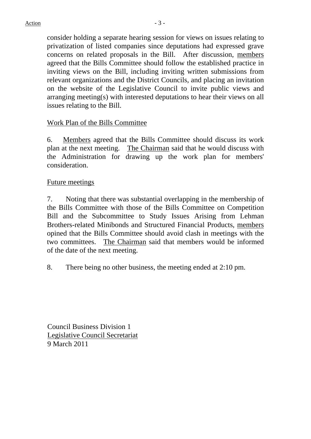consider holding a separate hearing session for views on issues relating to privatization of listed companies since deputations had expressed grave concerns on related proposals in the Bill. After discussion, members agreed that the Bills Committee should follow the established practice in inviting views on the Bill, including inviting written submissions from relevant organizations and the District Councils, and placing an invitation on the website of the Legislative Council to invite public views and arranging meeting(s) with interested deputations to hear their views on all issues relating to the Bill.

#### Work Plan of the Bills Committee

6. Members agreed that the Bills Committee should discuss its work plan at the next meeting. The Chairman said that he would discuss with the Administration for drawing up the work plan for members' consideration.

#### Future meetings

7. Noting that there was substantial overlapping in the membership of the Bills Committee with those of the Bills Committee on Competition Bill and the Subcommittee to Study Issues Arising from Lehman Brothers-related Minibonds and Structured Financial Products, members opined that the Bills Committee should avoid clash in meetings with the two committees. The Chairman said that members would be informed of the date of the next meeting.

8. There being no other business, the meeting ended at 2:10 pm.

Council Business Division 1 Legislative Council Secretariat 9 March 2011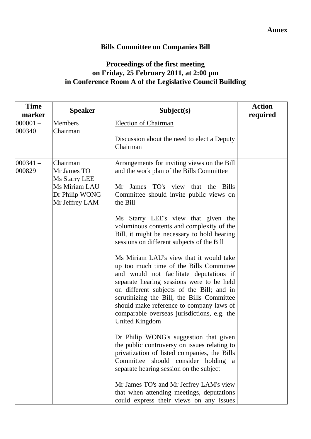## **Bills Committee on Companies Bill**

## **Proceedings of the first meeting on Friday, 25 February 2011, at 2:00 pm in Conference Room A of the Legislative Council Building**

| <b>Time</b><br>marker | <b>Speaker</b>                                                                                | Subject(s)                                                                                                                                                                                                                                                                                                                                                                                                                                                                                                                                                                                                                                                                                                                                                                                                                                                                                                                                                                                                                                                                                                                             | <b>Action</b><br>required |
|-----------------------|-----------------------------------------------------------------------------------------------|----------------------------------------------------------------------------------------------------------------------------------------------------------------------------------------------------------------------------------------------------------------------------------------------------------------------------------------------------------------------------------------------------------------------------------------------------------------------------------------------------------------------------------------------------------------------------------------------------------------------------------------------------------------------------------------------------------------------------------------------------------------------------------------------------------------------------------------------------------------------------------------------------------------------------------------------------------------------------------------------------------------------------------------------------------------------------------------------------------------------------------------|---------------------------|
| $000001 -$            | <b>Members</b>                                                                                | <b>Election of Chairman</b>                                                                                                                                                                                                                                                                                                                                                                                                                                                                                                                                                                                                                                                                                                                                                                                                                                                                                                                                                                                                                                                                                                            |                           |
| 000340                | Chairman                                                                                      | Discussion about the need to elect a Deputy<br>Chairman                                                                                                                                                                                                                                                                                                                                                                                                                                                                                                                                                                                                                                                                                                                                                                                                                                                                                                                                                                                                                                                                                |                           |
| $000341 -$<br>000829  | Chairman<br>Mr James TO<br>Ms Starry LEE<br>Ms Miriam LAU<br>Dr Philip WONG<br>Mr Jeffrey LAM | Arrangements for inviting views on the Bill<br>and the work plan of the Bills Committee<br>James TO's view that the Bills<br>Mr<br>Committee should invite public views on<br>the Bill<br>Ms Starry LEE's view that given the<br>voluminous contents and complexity of the<br>Bill, it might be necessary to hold hearing<br>sessions on different subjects of the Bill<br>Ms Miriam LAU's view that it would take<br>up too much time of the Bills Committee<br>and would not facilitate deputations if<br>separate hearing sessions were to be held<br>on different subjects of the Bill; and in<br>scrutinizing the Bill, the Bills Committee<br>should make reference to company laws of<br>comparable overseas jurisdictions, e.g. the<br><b>United Kingdom</b><br>Dr Philip WONG's suggestion that given<br>the public controversy on issues relating to<br>privatization of listed companies, the Bills<br>Committee should consider holding<br>a<br>separate hearing session on the subject<br>Mr James TO's and Mr Jeffrey LAM's view<br>that when attending meetings, deputations<br>could express their views on any issues |                           |